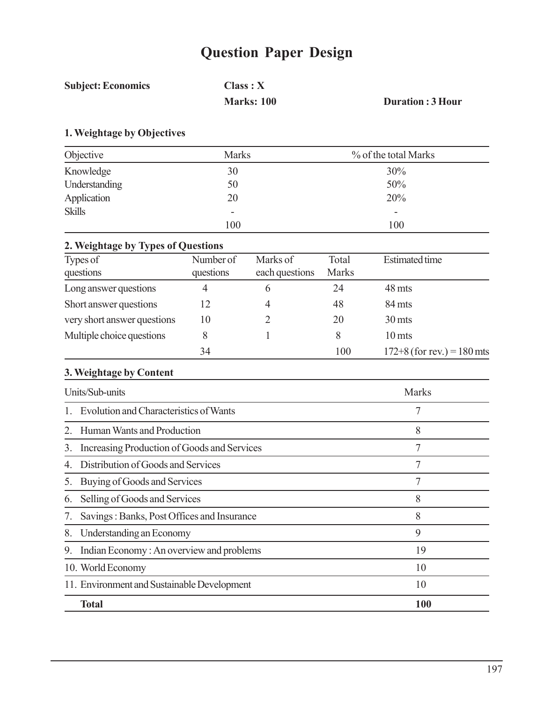# **Question Paper Design**

| <b>Subject: Economics</b> | Class: X          |                         |  |
|---------------------------|-------------------|-------------------------|--|
|                           | <b>Marks: 100</b> | <b>Duration: 3 Hour</b> |  |

## **1. Weightage by Objectives**

| Objective     | <b>Marks</b>             | % of the total Marks |
|---------------|--------------------------|----------------------|
| Knowledge     | 30                       | 30%                  |
| Understanding | 50                       | 50%                  |
| Application   | 20                       | 20%                  |
| <b>Skills</b> | $\overline{\phantom{a}}$ | -                    |
|               | 100                      | 100                  |

## **2. Weightage by Types of Questions**

| Types of                    | Number of | Marks of       | Total        | <b>Estimated time</b>        |
|-----------------------------|-----------|----------------|--------------|------------------------------|
| questions                   | questions | each questions | <b>Marks</b> |                              |
| Long answer questions       | 4         |                | 24           | 48 mts                       |
| Short answer questions      | 12        | 4              | 48           | 84 mts                       |
| very short answer questions | 10        |                | 20           | 30 mts                       |
| Multiple choice questions   |           |                | 8            | 10 mts                       |
|                             | 34        |                | 100          | $172+8$ (for rev.) = 180 mts |

## **3. Weightage by Content**

| Units/Sub-units<br><b>Marks</b>                   |    |  |
|---------------------------------------------------|----|--|
| Evolution and Characteristics of Wants            | 7  |  |
| Human Wants and Production                        | 8  |  |
| Increasing Production of Goods and Services<br>3. | 7  |  |
| Distribution of Goods and Services<br>4           | 7  |  |
| Buying of Goods and Services<br>5.                | 7  |  |
| Selling of Goods and Services<br>6.               | 8  |  |
| Savings: Banks, Post Offices and Insurance        | 8  |  |
| 8.<br>Understanding an Economy                    | 9  |  |
| Indian Economy: An overview and problems<br>9.    | 19 |  |
| 10. World Economy                                 | 10 |  |
| 11. Environment and Sustainable Development       | 10 |  |
| <b>Total</b><br>100                               |    |  |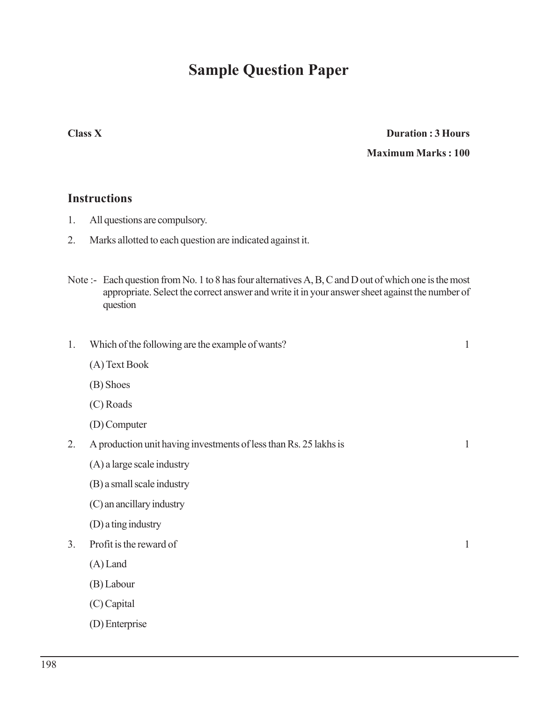## **Sample Question Paper**

## **Class X Duration : 3 Hours Maximum Marks : 100**

### **Instructions**

- 1. All questions are compulsory.
- 2. Marks allotted to each question are indicated against it.
- Note :- Each question from No. 1 to 8 has four alternatives A, B, C and D out of which one is the most appropriate. Select the correct answer and write it in your answer sheet against the number of question

| 1.             | Which of the following are the example of wants?                  | $\mathbf{1}$ |
|----------------|-------------------------------------------------------------------|--------------|
|                | (A) Text Book                                                     |              |
|                | (B) Shoes                                                         |              |
|                | $(C)$ Roads                                                       |              |
|                | (D) Computer                                                      |              |
| 2.             | A production unit having investments of less than Rs. 25 lakhs is | $\mathbf{1}$ |
|                | (A) a large scale industry                                        |              |
|                | (B) a small scale industry                                        |              |
|                | (C) an ancillary industry                                         |              |
|                | (D) a ting industry                                               |              |
| 3 <sub>1</sub> | Profit is the reward of                                           | 1            |
|                | $(A)$ Land                                                        |              |
|                | (B) Labour                                                        |              |
|                | (C) Capital                                                       |              |
|                | (D) Enterprise                                                    |              |
|                |                                                                   |              |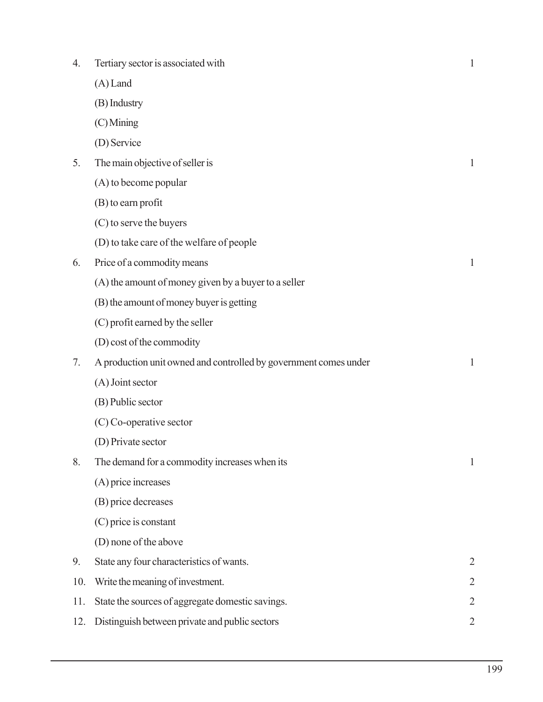| 4.  | Tertiary sector is associated with                               | $\mathbf{1}$   |
|-----|------------------------------------------------------------------|----------------|
|     | $(A)$ Land                                                       |                |
|     | (B) Industry                                                     |                |
|     | (C) Mining                                                       |                |
|     | (D) Service                                                      |                |
| 5.  | The main objective of seller is                                  | 1              |
|     | $(A)$ to become popular                                          |                |
|     | $(B)$ to earn profit                                             |                |
|     | (C) to serve the buyers                                          |                |
|     | (D) to take care of the welfare of people                        |                |
| 6.  | Price of a commodity means                                       | $\mathbf{1}$   |
|     | (A) the amount of money given by a buyer to a seller             |                |
|     | (B) the amount of money buyer is getting                         |                |
|     | (C) profit earned by the seller                                  |                |
|     | (D) cost of the commodity                                        |                |
| 7.  | A production unit owned and controlled by government comes under | $\mathbf{1}$   |
|     | (A) Joint sector                                                 |                |
|     | (B) Public sector                                                |                |
|     | $(C)$ Co-operative sector                                        |                |
|     | (D) Private sector                                               |                |
| 8.  | The demand for a commodity increases when its                    | $\mathbf{1}$   |
|     | (A) price increases                                              |                |
|     | (B) price decreases                                              |                |
|     | (C) price is constant                                            |                |
|     | (D) none of the above                                            |                |
| 9.  | State any four characteristics of wants.                         | $\overline{2}$ |
| 10. | Write the meaning of investment.                                 | 2              |
| 11. | State the sources of aggregate domestic savings.                 | $\overline{2}$ |
| 12. | Distinguish between private and public sectors                   | $\overline{2}$ |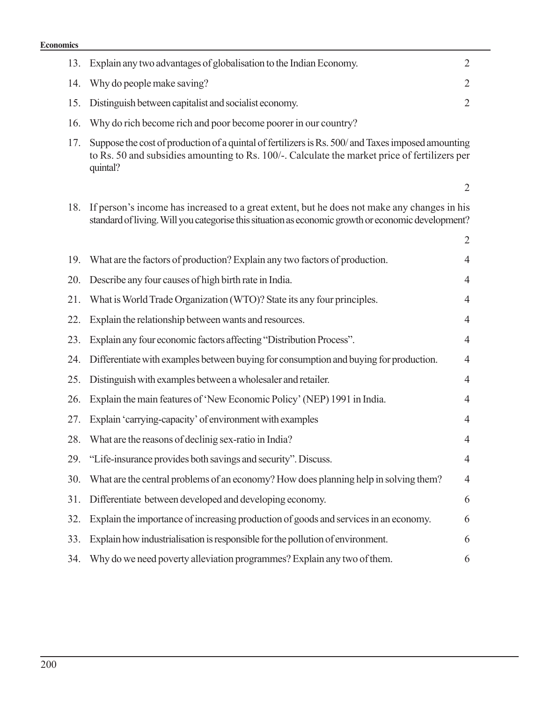### **Econ**

| nomics |                                                                                                                                                                                                                 |                |
|--------|-----------------------------------------------------------------------------------------------------------------------------------------------------------------------------------------------------------------|----------------|
| 13.    | Explain any two advantages of globalisation to the Indian Economy.                                                                                                                                              | 2              |
| 14.    | Why do people make saving?                                                                                                                                                                                      | $\overline{2}$ |
| 15.    | Distinguish between capitalist and socialist economy.                                                                                                                                                           | $\overline{2}$ |
| 16.    | Why do rich become rich and poor become poorer in our country?                                                                                                                                                  |                |
| 17.    | Suppose the cost of production of a quintal of fertilizers is Rs. 500/ and Taxes imposed amounting<br>to Rs. 50 and subsidies amounting to Rs. 100/-. Calculate the market price of fertilizers per<br>quintal? |                |
|        |                                                                                                                                                                                                                 | $\overline{2}$ |
| 18.    | If person's income has increased to a great extent, but he does not make any changes in his<br>standard of living. Will you categorise this situation as economic growth or economic development?               |                |
|        |                                                                                                                                                                                                                 | $\overline{2}$ |
| 19.    | What are the factors of production? Explain any two factors of production.                                                                                                                                      | 4              |
| 20.    | Describe any four causes of high birth rate in India.                                                                                                                                                           | 4              |
| 21.    | What is World Trade Organization (WTO)? State its any four principles.                                                                                                                                          | 4              |
| 22.    | Explain the relationship between wants and resources.                                                                                                                                                           | $\overline{4}$ |
| 23.    | Explain any four economic factors affecting "Distribution Process".                                                                                                                                             | 4              |
| 24.    | Differentiate with examples between buying for consumption and buying for production.                                                                                                                           | 4              |
| 25.    | Distinguish with examples between a wholesaler and retailer.                                                                                                                                                    | 4              |
| 26.    | Explain the main features of 'New Economic Policy' (NEP) 1991 in India.                                                                                                                                         | 4              |
| 27.    | Explain 'carrying-capacity' of environment with examples                                                                                                                                                        | $\overline{4}$ |
| 28.    | What are the reasons of declinig sex-ratio in India?                                                                                                                                                            | 4              |
| 29.    | "Life-insurance provides both savings and security". Discuss.                                                                                                                                                   | 4              |
| 30.    | What are the central problems of an economy? How does planning help in solving them?                                                                                                                            | $\overline{4}$ |
| 31.    | Differentiate between developed and developing economy.                                                                                                                                                         | 6              |
| 32.    | Explain the importance of increasing production of goods and services in an economy.                                                                                                                            | 6              |
| 33.    | Explain how industrialisation is responsible for the pollution of environment.                                                                                                                                  | 6              |
| 34.    | Why do we need poverty alleviation programmes? Explain any two of them.                                                                                                                                         | 6              |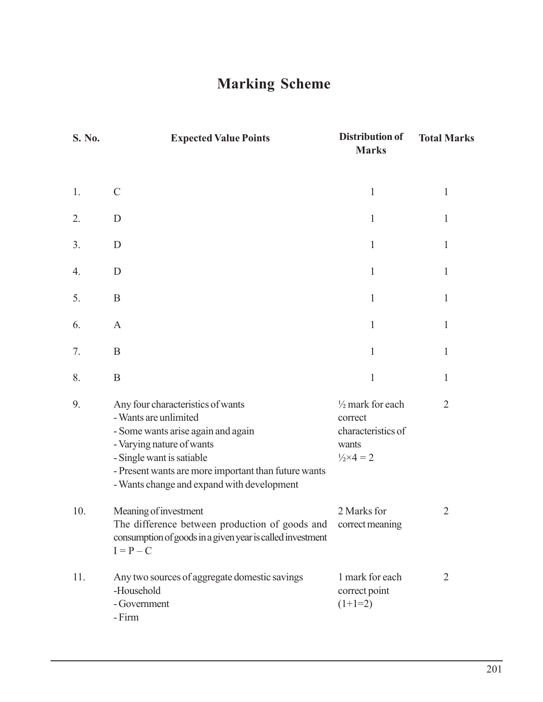# **Marking Scheme**

| S. No. | <b>Expected Value Points</b>                                                                                                                                                                                                                                     | <b>Distribution of</b><br><b>Marks</b>                                                              | <b>Total Marks</b> |
|--------|------------------------------------------------------------------------------------------------------------------------------------------------------------------------------------------------------------------------------------------------------------------|-----------------------------------------------------------------------------------------------------|--------------------|
| 1.     | $\mathcal{C}$                                                                                                                                                                                                                                                    | $\mathbf{1}$                                                                                        | $\mathbf{1}$       |
| 2.     | D                                                                                                                                                                                                                                                                | 1                                                                                                   | $\mathbf{1}$       |
| 3.     | D                                                                                                                                                                                                                                                                | 1                                                                                                   | $\mathbf{1}$       |
| 4.     | D                                                                                                                                                                                                                                                                | 1                                                                                                   | $\mathbf{1}$       |
| 5.     | B                                                                                                                                                                                                                                                                | 1                                                                                                   | $\mathbf{1}$       |
| 6.     | $\mathbf{A}$                                                                                                                                                                                                                                                     | 1                                                                                                   | $\mathbf{1}$       |
| 7.     | $\boldsymbol{B}$                                                                                                                                                                                                                                                 | 1                                                                                                   | $\mathbf{1}$       |
| 8.     | $\boldsymbol{B}$                                                                                                                                                                                                                                                 | $\mathbf{1}$                                                                                        | 1                  |
| 9.     | Any four characteristics of wants<br>- Wants are unlimited<br>- Some wants arise again and again<br>- Varying nature of wants<br>- Single want is satiable<br>- Present wants are more important than future wants<br>- Wants change and expand with development | $\frac{1}{2}$ mark for each<br>correct<br>characteristics of<br>wants<br>$\frac{1}{2} \times 4 = 2$ | $\overline{2}$     |
| 10.    | Meaning of investment<br>The difference between production of goods and<br>consumption of goods in a given year is called investment<br>$I = P - C$                                                                                                              | 2 Marks for<br>correct meaning                                                                      | $\overline{2}$     |
| 11.    | Any two sources of aggregate domestic savings<br>-Household<br>- Government<br>- Firm                                                                                                                                                                            | 1 mark for each<br>correct point<br>$(1+1=2)$                                                       | $\overline{2}$     |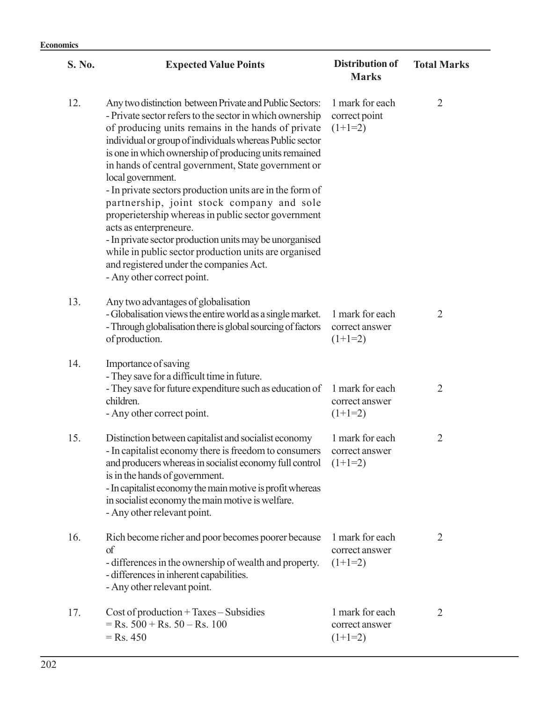| S. No. | <b>Expected Value Points</b>                                                                                                                                                                                                                                                                                                                                                                                                                                                                                                                                                                                                                                                                                                                                      | <b>Distribution of</b><br><b>Marks</b>         | <b>Total Marks</b> |
|--------|-------------------------------------------------------------------------------------------------------------------------------------------------------------------------------------------------------------------------------------------------------------------------------------------------------------------------------------------------------------------------------------------------------------------------------------------------------------------------------------------------------------------------------------------------------------------------------------------------------------------------------------------------------------------------------------------------------------------------------------------------------------------|------------------------------------------------|--------------------|
| 12.    | Any two distinction between Private and Public Sectors:<br>- Private sector refers to the sector in which ownership<br>of producing units remains in the hands of private<br>individual or group of individuals whereas Public sector<br>is one in which ownership of producing units remained<br>in hands of central government, State government or<br>local government.<br>- In private sectors production units are in the form of<br>partnership, joint stock company and sole<br>properietership whereas in public sector government<br>acts as enterpreneure.<br>- In private sector production units may be unorganised<br>while in public sector production units are organised<br>and registered under the companies Act.<br>- Any other correct point. | 1 mark for each<br>correct point<br>$(1+1=2)$  | $\overline{2}$     |
| 13.    | Any two advantages of globalisation<br>- Globalisation views the entire world as a single market.<br>- Through globalisation there is global sourcing of factors<br>of production.                                                                                                                                                                                                                                                                                                                                                                                                                                                                                                                                                                                | 1 mark for each<br>correct answer<br>$(1+1=2)$ | $\overline{2}$     |
| 14.    | Importance of saving<br>- They save for a difficult time in future.<br>- They save for future expenditure such as education of<br>children.<br>- Any other correct point.                                                                                                                                                                                                                                                                                                                                                                                                                                                                                                                                                                                         | 1 mark for each<br>correct answer<br>$(1+1=2)$ | $\overline{2}$     |
| 15.    | Distinction between capitalist and socialist economy<br>- In capitalist economy there is freedom to consumers<br>and producers whereas in socialist economy full control<br>is in the hands of government.<br>- In capitalist economy the main motive is profit whereas<br>in socialist economy the main motive is welfare.<br>- Any other relevant point.                                                                                                                                                                                                                                                                                                                                                                                                        | 1 mark for each<br>correct answer<br>$(1+1=2)$ | $\overline{2}$     |
| 16.    | Rich become richer and poor becomes poorer because<br>of<br>- differences in the ownership of wealth and property.<br>- differences in inherent capabilities.<br>- Any other relevant point.                                                                                                                                                                                                                                                                                                                                                                                                                                                                                                                                                                      | 1 mark for each<br>correct answer<br>$(1+1=2)$ | $\overline{2}$     |
| 17.    | $Cost of production + Taxes - Subsidies$<br>$=$ Rs. 500 + Rs. 50 – Rs. 100<br>$=$ Rs. 450                                                                                                                                                                                                                                                                                                                                                                                                                                                                                                                                                                                                                                                                         | 1 mark for each<br>correct answer<br>$(1+1=2)$ | $\overline{2}$     |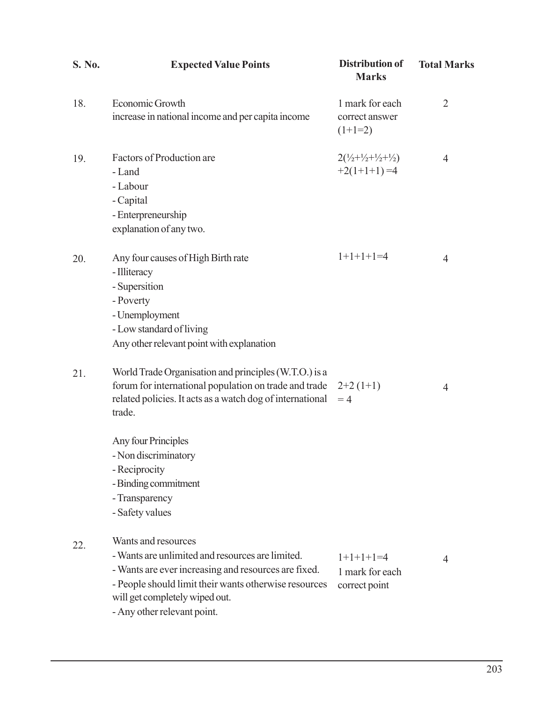| S. No. | <b>Expected Value Points</b>                                                                                                                                                                                                                                                                    | <b>Distribution of</b><br><b>Marks</b>                                | <b>Total Marks</b> |
|--------|-------------------------------------------------------------------------------------------------------------------------------------------------------------------------------------------------------------------------------------------------------------------------------------------------|-----------------------------------------------------------------------|--------------------|
| 18.    | Economic Growth<br>increase in national income and per capita income                                                                                                                                                                                                                            | 1 mark for each<br>correct answer<br>$(1+1=2)$                        | $\overline{2}$     |
| 19.    | Factors of Production are<br>- Land<br>- Labour<br>- Capital<br>- Enterpreneurship<br>explanation of any two.                                                                                                                                                                                   | $2(\frac{1}{2}+\frac{1}{2}+\frac{1}{2}+\frac{1}{2})$<br>$+2(1+1+1)=4$ | $\overline{4}$     |
| 20.    | Any four causes of High Birth rate<br>- Illiteracy<br>- Supersition<br>- Poverty<br>- Unemployment<br>- Low standard of living<br>Any other relevant point with explanation                                                                                                                     | $1+1+1+1=4$                                                           | $\overline{4}$     |
| 21.    | World Trade Organisation and principles (W.T.O.) is a<br>forum for international population on trade and trade<br>related policies. It acts as a watch dog of international<br>trade.<br>Any four Principles<br>- Non discriminatory<br>- Reciprocity<br>- Binding commitment<br>- Transparency | $2+2(1+1)$<br>$=4$                                                    | $\overline{4}$     |
| 22.    | - Safety values<br>Wants and resources<br>- Wants are unlimited and resources are limited.<br>- Wants are ever increasing and resources are fixed.<br>- People should limit their wants otherwise resources<br>will get completely wiped out.<br>- Any other relevant point.                    | $1+1+1+1=4$<br>1 mark for each<br>correct point                       | 4                  |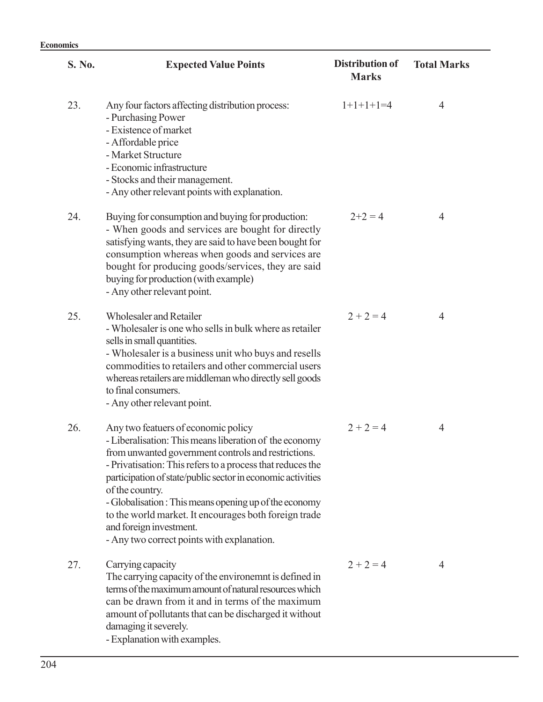| S. No. | <b>Expected Value Points</b>                                                                                                                                                                                                                                                                                                                                                                                                                                                                    | <b>Distribution of</b><br><b>Marks</b> | <b>Total Marks</b> |
|--------|-------------------------------------------------------------------------------------------------------------------------------------------------------------------------------------------------------------------------------------------------------------------------------------------------------------------------------------------------------------------------------------------------------------------------------------------------------------------------------------------------|----------------------------------------|--------------------|
| 23.    | Any four factors affecting distribution process:<br>- Purchasing Power<br>- Existence of market<br>- Affordable price<br>- Market Structure<br>- Economic infrastructure<br>- Stocks and their management.<br>- Any other relevant points with explanation.                                                                                                                                                                                                                                     | $1+1+1+1=4$                            | $\overline{4}$     |
| 24.    | Buying for consumption and buying for production:<br>- When goods and services are bought for directly<br>satisfying wants, they are said to have been bought for<br>consumption whereas when goods and services are<br>bought for producing goods/services, they are said<br>buying for production (with example)<br>- Any other relevant point.                                                                                                                                               | $2+2=4$                                | $\overline{4}$     |
| 25.    | Wholesaler and Retailer<br>- Wholesaler is one who sells in bulk where as retailer<br>sells in small quantities.<br>- Wholesaler is a business unit who buys and resells<br>commodities to retailers and other commercial users<br>whereas retailers are middleman who directly sell goods<br>to final consumers.<br>- Any other relevant point.                                                                                                                                                | $2 + 2 = 4$                            | 4                  |
| 26.    | Any two featuers of economic policy<br>- Liberalisation: This means liberation of the economy<br>from unwanted government controls and restrictions<br>- Privatisation: This refers to a process that reduces the<br>participation of state/public sector in economic activities<br>of the country.<br>- Globalisation : This means opening up of the economy<br>to the world market. It encourages both foreign trade<br>and foreign investment.<br>- Any two correct points with explanation. | $2 + 2 = 4$                            | $\overline{4}$     |
| 27.    | Carrying capacity<br>The carrying capacity of the environemnt is defined in<br>terms of the maximum amount of natural resources which<br>can be drawn from it and in terms of the maximum<br>amount of pollutants that can be discharged it without<br>damaging it severely.<br>- Explanation with examples.                                                                                                                                                                                    | $2 + 2 = 4$                            | 4                  |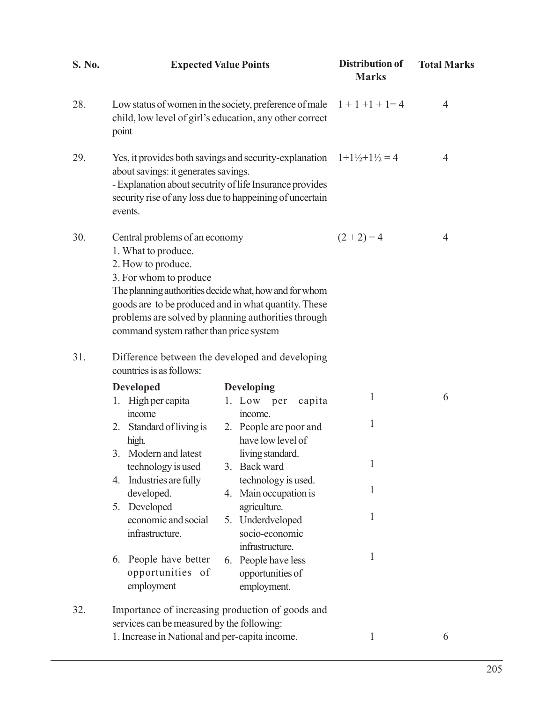| S. No. |                                                                                                                                                                                                                                   | <b>Expected Value Points</b>                                                                                                                                          | <b>Distribution of</b><br><b>Marks</b> | <b>Total Marks</b> |
|--------|-----------------------------------------------------------------------------------------------------------------------------------------------------------------------------------------------------------------------------------|-----------------------------------------------------------------------------------------------------------------------------------------------------------------------|----------------------------------------|--------------------|
| 28.    | Low status of women in the society, preference of male $1 + 1 + 1 + 1 = 4$<br>child, low level of girl's education, any other correct<br>point                                                                                    |                                                                                                                                                                       | 4                                      |                    |
| 29.    | Yes, it provides both savings and security-explanation<br>about savings: it generates savings.<br>- Explanation about secutrity of life Insurance provides<br>security rise of any loss due to happeining of uncertain<br>events. |                                                                                                                                                                       | $1+1\frac{1}{2}+1\frac{1}{2}=4$        | 4                  |
| 30.    | Central problems of an economy<br>1. What to produce.<br>2. How to produce.<br>3. For whom to produce<br>command system rather than price system                                                                                  | The planning authorities decide what, how and for whom<br>goods are to be produced and in what quantity. These<br>problems are solved by planning authorities through | $(2 + 2) = 4$                          | 4                  |
| 31.    | Difference between the developed and developing<br>countries is as follows:                                                                                                                                                       |                                                                                                                                                                       |                                        |                    |
|        | <b>Developed</b><br>1. High per capita                                                                                                                                                                                            | <b>Developing</b><br>1. Low per<br>capita                                                                                                                             | $\mathbf{1}$                           | 6                  |
|        | income<br>2. Standard of living is<br>high.<br>3. Modern and latest                                                                                                                                                               | income.<br>2. People are poor and<br>have low level of<br>living standard.                                                                                            | $\mathbf{1}$                           |                    |
|        | technology is used                                                                                                                                                                                                                | 3. Back ward                                                                                                                                                          | 1                                      |                    |
|        | 4. Industries are fully<br>developed.<br>5. Developed                                                                                                                                                                             | technology is used.<br>4. Main occupation is<br>agriculture.                                                                                                          | 1                                      |                    |
|        | economic and social<br>infrastructure.                                                                                                                                                                                            | 5. Underdveloped<br>socio-economic                                                                                                                                    | 1                                      |                    |
|        | People have better<br>6.<br>opportunities of<br>employment                                                                                                                                                                        | infrastructure.<br>6. People have less<br>opportunities of<br>employment.                                                                                             | 1                                      |                    |
| 32.    | services can be measured by the following:                                                                                                                                                                                        | Importance of increasing production of goods and                                                                                                                      |                                        |                    |
|        | 1. Increase in National and per-capita income.                                                                                                                                                                                    |                                                                                                                                                                       | 1                                      | 6                  |